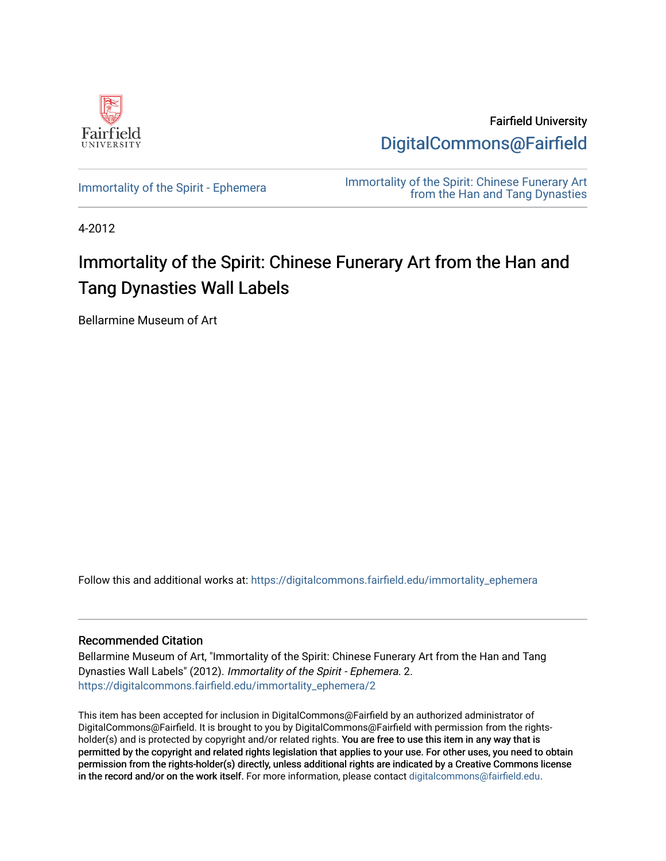

Fairfield University [DigitalCommons@Fairfield](https://digitalcommons.fairfield.edu/) 

[Immortality of the Spirit - Ephemera](https://digitalcommons.fairfield.edu/immortality_ephemera) **Immortality of the Spirit: Chinese Funerary Art** [from the Han and Tang Dynasties](https://digitalcommons.fairfield.edu/immortality) 

4-2012

#### Immortality of the Spirit: Chinese Funerary Art from the Han and Tang Dynasties Wall Labels

Bellarmine Museum of Art

Follow this and additional works at: [https://digitalcommons.fairfield.edu/immortality\\_ephemera](https://digitalcommons.fairfield.edu/immortality_ephemera?utm_source=digitalcommons.fairfield.edu%2Fimmortality_ephemera%2F2&utm_medium=PDF&utm_campaign=PDFCoverPages) 

#### Recommended Citation

Bellarmine Museum of Art, "Immortality of the Spirit: Chinese Funerary Art from the Han and Tang Dynasties Wall Labels" (2012). Immortality of the Spirit - Ephemera. 2. [https://digitalcommons.fairfield.edu/immortality\\_ephemera/2](https://digitalcommons.fairfield.edu/immortality_ephemera/2?utm_source=digitalcommons.fairfield.edu%2Fimmortality_ephemera%2F2&utm_medium=PDF&utm_campaign=PDFCoverPages)

This item has been accepted for inclusion in DigitalCommons@Fairfield by an authorized administrator of DigitalCommons@Fairfield. It is brought to you by DigitalCommons@Fairfield with permission from the rightsholder(s) and is protected by copyright and/or related rights. You are free to use this item in any way that is permitted by the copyright and related rights legislation that applies to your use. For other uses, you need to obtain permission from the rights-holder(s) directly, unless additional rights are indicated by a Creative Commons license in the record and/or on the work itself. For more information, please contact [digitalcommons@fairfield.edu.](mailto:digitalcommons@fairfield.edu)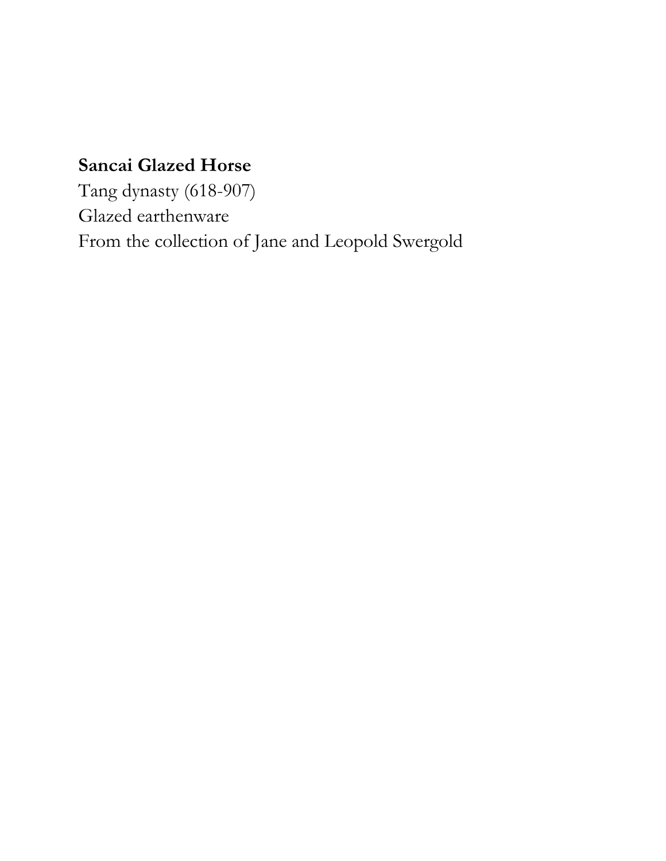#### **Sancai Glazed Horse**

Tang dynasty (618-907) Glazed earthenware From the collection of Jane and Leopold Swergold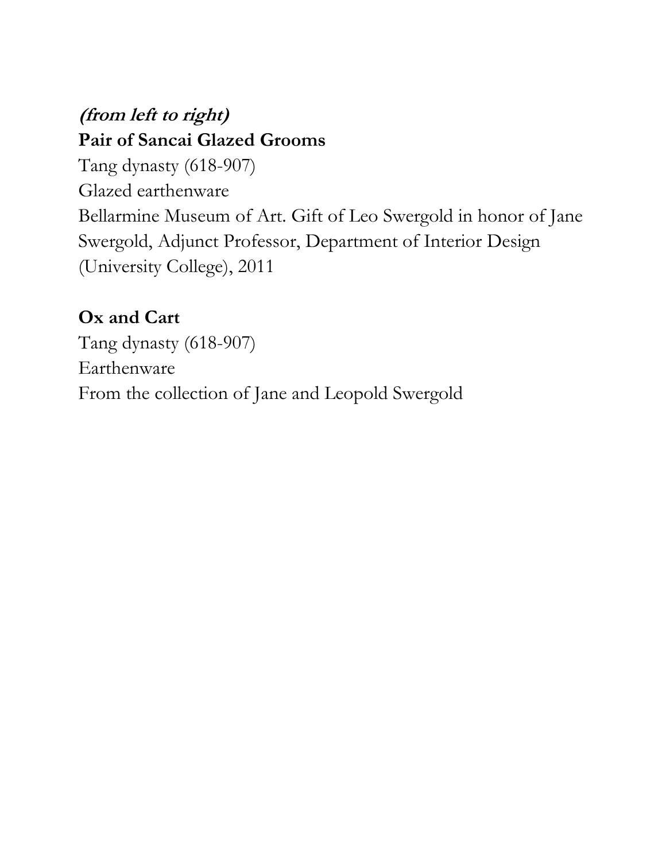#### **(from left to right) Pair of Sancai Glazed Grooms**

Tang dynasty (618-907) Glazed earthenware Bellarmine Museum of Art. Gift of Leo Swergold in honor of Jane Swergold, Adjunct Professor, Department of Interior Design (University College), 2011

#### **Ox and Cart**

Tang dynasty (618-907) Earthenware From the collection of Jane and Leopold Swergold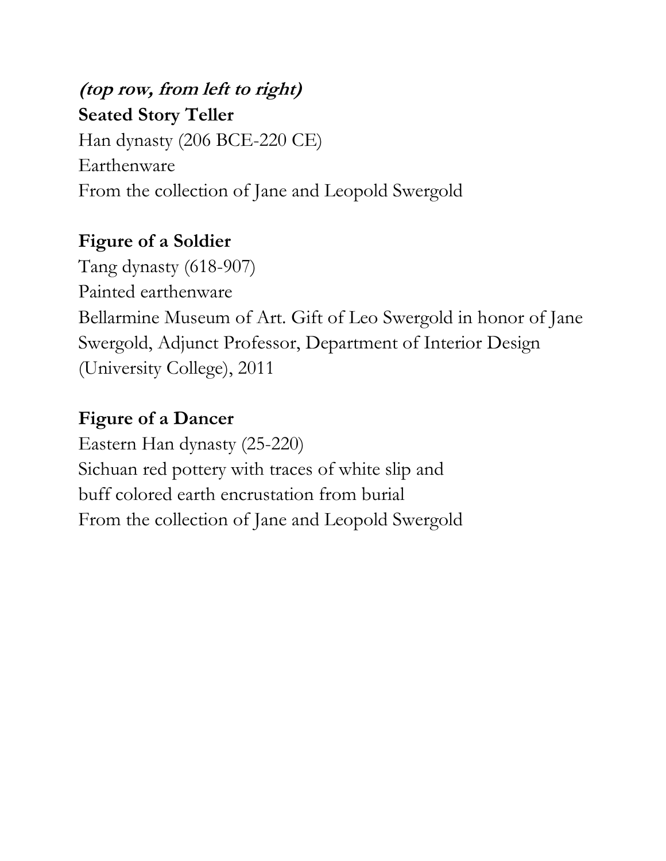## **(top row, from left to right) Seated Story Teller** Han dynasty (206 BCE-220 CE) Earthenware From the collection of Jane and Leopold Swergold

#### **Figure of a Soldier**

Tang dynasty (618-907) Painted earthenware Bellarmine Museum of Art. Gift of Leo Swergold in honor of Jane Swergold, Adjunct Professor, Department of Interior Design (University College), 2011

#### **Figure of a Dancer**

Eastern Han dynasty (25-220) Sichuan red pottery with traces of white slip and buff colored earth encrustation from burial From the collection of Jane and Leopold Swergold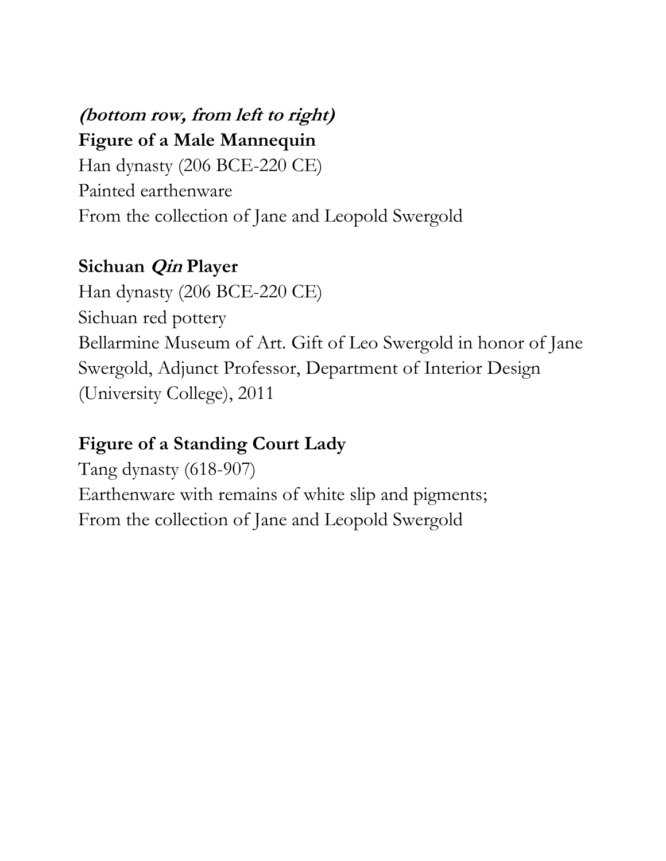# **(bottom row, from left to right)**

**Figure of a Male Mannequin**

Han dynasty (206 BCE-220 CE) Painted earthenware From the collection of Jane and Leopold Swergold

### **Sichuan Qin Player**

Han dynasty (206 BCE-220 CE) Sichuan red pottery Bellarmine Museum of Art. Gift of Leo Swergold in honor of Jane Swergold, Adjunct Professor, Department of Interior Design (University College), 2011

### **Figure of a Standing Court Lady**

Tang dynasty (618-907) Earthenware with remains of white slip and pigments; From the collection of Jane and Leopold Swergold